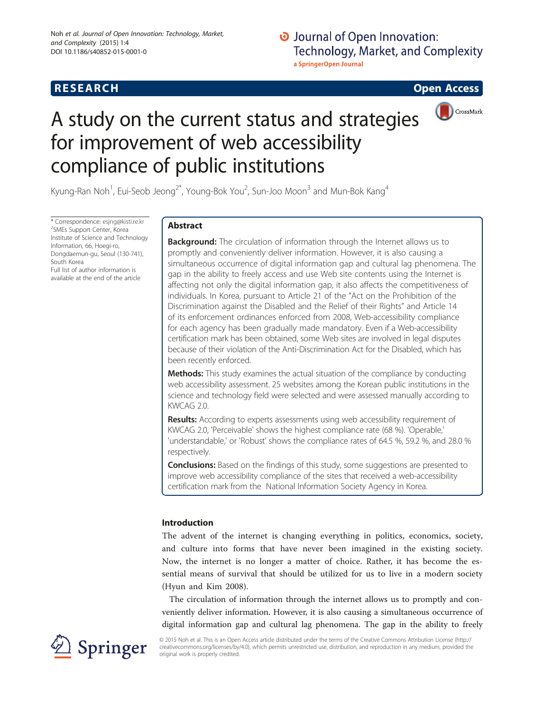## **RESEARCH CHE Open Access**

CrossMark

# A study on the current status and strategies for improvement of web accessibility compliance of public institutions

Kyung-Ran Noh<sup>1</sup>, Eui-Seob Jeong<sup>2\*</sup>, Young-Bok You<sup>2</sup>, Sun-Joo Moon<sup>3</sup> and Mun-Bok Kang<sup>4</sup>

\* Correspondence: [esjng@kisti.re.kr](mailto:esjng@kisti.re.kr) <sup>2</sup> <sup>2</sup>SMEs Support Center, Korea Institute of Science and Technology Information, 66, Hoegi-ro, Dongdaemun-gu, Seoul (130-741), South Korea

Full list of author information is available at the end of the article

## Abstract

**Background:** The circulation of information through the Internet allows us to promptly and conveniently deliver information. However, it is also causing a simultaneous occurrence of digital information gap and cultural lag phenomena. The gap in the ability to freely access and use Web site contents using the Internet is affecting not only the digital information gap, it also affects the competitiveness of individuals. In Korea, pursuant to Article 21 of the "Act on the Prohibition of the Discrimination against the Disabled and the Relief of their Rights" and Article 14 of its enforcement ordinances enforced from 2008, Web-accessibility compliance for each agency has been gradually made mandatory. Even if a Web-accessibility certification mark has been obtained, some Web sites are involved in legal disputes because of their violation of the Anti-Discrimination Act for the Disabled, which has been recently enforced.

**Methods:** This study examines the actual situation of the compliance by conducting web accessibility assessment. 25 websites among the Korean public institutions in the science and technology field were selected and were assessed manually according to KWCAG 2.0.

**Results:** According to experts assessments using web accessibility requirement of KWCAG 2.0, 'Perceivable' shows the highest compliance rate (68 %). 'Operable,' 'understandable,' or 'Robust' shows the compliance rates of 64.5 %, 59.2 %, and 28.0 % respectively.

**Conclusions:** Based on the findings of this study, some suggestions are presented to improve web accessibility compliance of the sites that received a web-accessibility certification mark from the National Information Society Agency in Korea.

## Introduction

The advent of the internet is changing everything in politics, economics, society, and culture into forms that have never been imagined in the existing society. Now, the internet is no longer a matter of choice. Rather, it has become the essential means of survival that should be utilized for us to live in a modern society (Hyun and Kim [2008\)](#page-15-0).

The circulation of information through the internet allows us to promptly and conveniently deliver information. However, it is also causing a simultaneous occurrence of digital information gap and cultural lag phenomena. The gap in the ability to freely



© 2015 Noh et al. This is an Open Access article distributed under the terms of the Creative Commons Attribution License [\(http://](http://creativecommons.org/licenses/by/4.0) [creativecommons.org/licenses/by/4.0\)](http://creativecommons.org/licenses/by/4.0), which permits unrestricted use, distribution, and reproduction in any medium, provided the original work is properly credited.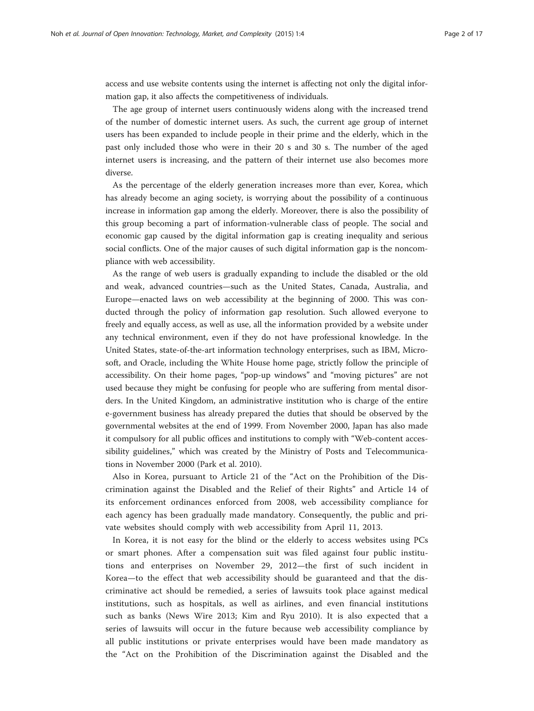access and use website contents using the internet is affecting not only the digital information gap, it also affects the competitiveness of individuals.

The age group of internet users continuously widens along with the increased trend of the number of domestic internet users. As such, the current age group of internet users has been expanded to include people in their prime and the elderly, which in the past only included those who were in their 20 s and 30 s. The number of the aged internet users is increasing, and the pattern of their internet use also becomes more diverse.

As the percentage of the elderly generation increases more than ever, Korea, which has already become an aging society, is worrying about the possibility of a continuous increase in information gap among the elderly. Moreover, there is also the possibility of this group becoming a part of information-vulnerable class of people. The social and economic gap caused by the digital information gap is creating inequality and serious social conflicts. One of the major causes of such digital information gap is the noncompliance with web accessibility.

As the range of web users is gradually expanding to include the disabled or the old and weak, advanced countries—such as the United States, Canada, Australia, and Europe—enacted laws on web accessibility at the beginning of 2000. This was conducted through the policy of information gap resolution. Such allowed everyone to freely and equally access, as well as use, all the information provided by a website under any technical environment, even if they do not have professional knowledge. In the United States, state-of-the-art information technology enterprises, such as IBM, Microsoft, and Oracle, including the White House home page, strictly follow the principle of accessibility. On their home pages, "pop-up windows" and "moving pictures" are not used because they might be confusing for people who are suffering from mental disorders. In the United Kingdom, an administrative institution who is charge of the entire e-government business has already prepared the duties that should be observed by the governmental websites at the end of 1999. From November 2000, Japan has also made it compulsory for all public offices and institutions to comply with "Web-content accessibility guidelines," which was created by the Ministry of Posts and Telecommunications in November 2000 (Park et al. [2010\)](#page-16-0).

Also in Korea, pursuant to Article 21 of the "Act on the Prohibition of the Discrimination against the Disabled and the Relief of their Rights" and Article 14 of its enforcement ordinances enforced from 2008, web accessibility compliance for each agency has been gradually made mandatory. Consequently, the public and private websites should comply with web accessibility from April 11, 2013.

In Korea, it is not easy for the blind or the elderly to access websites using PCs or smart phones. After a compensation suit was filed against four public institutions and enterprises on November 29, 2012—the first of such incident in Korea—to the effect that web accessibility should be guaranteed and that the discriminative act should be remedied, a series of lawsuits took place against medical institutions, such as hospitals, as well as airlines, and even financial institutions such as banks (News Wire [2013](#page-16-0); Kim and Ryu [2010](#page-16-0)). It is also expected that a series of lawsuits will occur in the future because web accessibility compliance by all public institutions or private enterprises would have been made mandatory as the "Act on the Prohibition of the Discrimination against the Disabled and the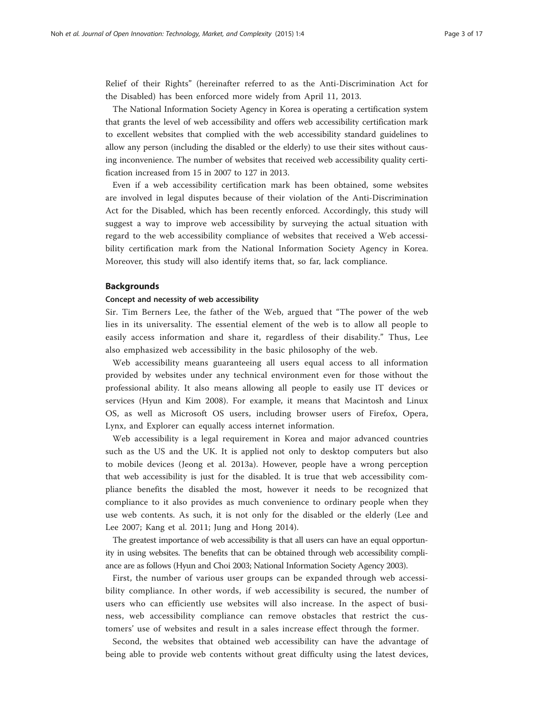Relief of their Rights" (hereinafter referred to as the Anti-Discrimination Act for the Disabled) has been enforced more widely from April 11, 2013.

The National Information Society Agency in Korea is operating a certification system that grants the level of web accessibility and offers web accessibility certification mark to excellent websites that complied with the web accessibility standard guidelines to allow any person (including the disabled or the elderly) to use their sites without causing inconvenience. The number of websites that received web accessibility quality certification increased from 15 in 2007 to 127 in 2013.

Even if a web accessibility certification mark has been obtained, some websites are involved in legal disputes because of their violation of the Anti-Discrimination Act for the Disabled, which has been recently enforced. Accordingly, this study will suggest a way to improve web accessibility by surveying the actual situation with regard to the web accessibility compliance of websites that received a Web accessibility certification mark from the National Information Society Agency in Korea. Moreover, this study will also identify items that, so far, lack compliance.

#### **Backgrounds**

#### Concept and necessity of web accessibility

Sir. Tim Berners Lee, the father of the Web, argued that "The power of the web lies in its universality. The essential element of the web is to allow all people to easily access information and share it, regardless of their disability." Thus, Lee also emphasized web accessibility in the basic philosophy of the web.

Web accessibility means guaranteeing all users equal access to all information provided by websites under any technical environment even for those without the professional ability. It also means allowing all people to easily use IT devices or services (Hyun and Kim [2008](#page-15-0)). For example, it means that Macintosh and Linux OS, as well as Microsoft OS users, including browser users of Firefox, Opera, Lynx, and Explorer can equally access internet information.

Web accessibility is a legal requirement in Korea and major advanced countries such as the US and the UK. It is applied not only to desktop computers but also to mobile devices (Jeong et al. [2013](#page-16-0)a). However, people have a wrong perception that web accessibility is just for the disabled. It is true that web accessibility compliance benefits the disabled the most, however it needs to be recognized that compliance to it also provides as much convenience to ordinary people when they use web contents. As such, it is not only for the disabled or the elderly (Lee and Lee [2007](#page-16-0); Kang et al. [2011;](#page-16-0) Jung and Hong [2014\)](#page-16-0).

The greatest importance of web accessibility is that all users can have an equal opportunity in using websites. The benefits that can be obtained through web accessibility compliance are as follows (Hyun and Choi [2003](#page-15-0); National Information Society Agency [2003](#page-16-0)).

First, the number of various user groups can be expanded through web accessibility compliance. In other words, if web accessibility is secured, the number of users who can efficiently use websites will also increase. In the aspect of business, web accessibility compliance can remove obstacles that restrict the customers' use of websites and result in a sales increase effect through the former.

Second, the websites that obtained web accessibility can have the advantage of being able to provide web contents without great difficulty using the latest devices,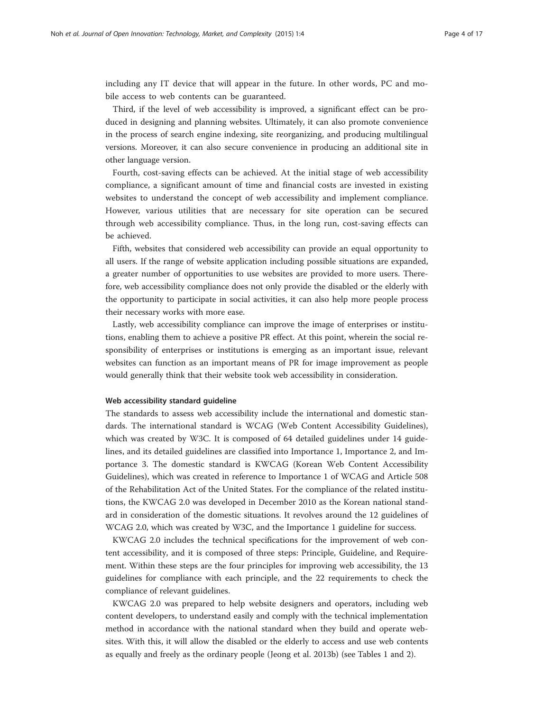including any IT device that will appear in the future. In other words, PC and mobile access to web contents can be guaranteed.

Third, if the level of web accessibility is improved, a significant effect can be produced in designing and planning websites. Ultimately, it can also promote convenience in the process of search engine indexing, site reorganizing, and producing multilingual versions. Moreover, it can also secure convenience in producing an additional site in other language version.

Fourth, cost-saving effects can be achieved. At the initial stage of web accessibility compliance, a significant amount of time and financial costs are invested in existing websites to understand the concept of web accessibility and implement compliance. However, various utilities that are necessary for site operation can be secured through web accessibility compliance. Thus, in the long run, cost-saving effects can be achieved.

Fifth, websites that considered web accessibility can provide an equal opportunity to all users. If the range of website application including possible situations are expanded, a greater number of opportunities to use websites are provided to more users. Therefore, web accessibility compliance does not only provide the disabled or the elderly with the opportunity to participate in social activities, it can also help more people process their necessary works with more ease.

Lastly, web accessibility compliance can improve the image of enterprises or institutions, enabling them to achieve a positive PR effect. At this point, wherein the social responsibility of enterprises or institutions is emerging as an important issue, relevant websites can function as an important means of PR for image improvement as people would generally think that their website took web accessibility in consideration.

#### Web accessibility standard guideline

The standards to assess web accessibility include the international and domestic standards. The international standard is WCAG [\(Web Content Accessibility Guidelines](#page-16-0)), which was created by W3C. It is composed of 64 detailed guidelines under 14 guidelines, and its detailed guidelines are classified into Importance 1, Importance 2, and Importance 3. The domestic standard is KWCAG (Korean Web Content Accessibility Guidelines), which was created in reference to Importance 1 of WCAG and Article 508 of the Rehabilitation Act of the United States. For the compliance of the related institutions, the KWCAG 2.0 was developed in December 2010 as the Korean national standard in consideration of the domestic situations. It revolves around the 12 guidelines of WCAG 2.0, which was created by W3C, and the Importance 1 guideline for success.

KWCAG 2.0 includes the technical specifications for the improvement of web content accessibility, and it is composed of three steps: Principle, Guideline, and Requirement. Within these steps are the four principles for improving web accessibility, the 13 guidelines for compliance with each principle, and the 22 requirements to check the compliance of relevant guidelines.

KWCAG 2.0 was prepared to help website designers and operators, including web content developers, to understand easily and comply with the technical implementation method in accordance with the national standard when they build and operate websites. With this, it will allow the disabled or the elderly to access and use web contents as equally and freely as the ordinary people (Jeong et al. [2013b](#page-16-0)) (see Tables [1](#page-4-0) and [2\)](#page-4-0).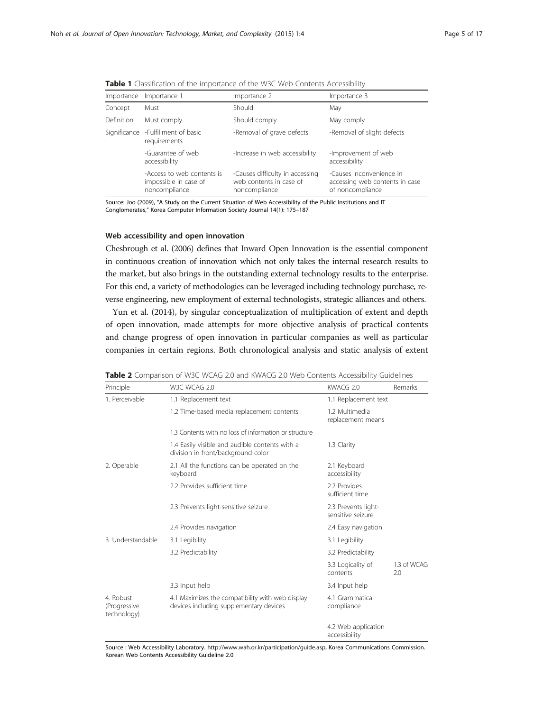| Importance   | Importance 1                                                         | Importance 2                                                                | Importance 3                                                                   |  |  |  |  |  |
|--------------|----------------------------------------------------------------------|-----------------------------------------------------------------------------|--------------------------------------------------------------------------------|--|--|--|--|--|
| Concept      | Must                                                                 | Should                                                                      | May                                                                            |  |  |  |  |  |
| Definition   | Must comply                                                          | Should comply                                                               | May comply                                                                     |  |  |  |  |  |
| Significance | -Fulfillment of basic<br>requirements                                | -Removal of grave defects                                                   | -Removal of slight defects                                                     |  |  |  |  |  |
|              | -Guarantee of web<br>accessibility                                   | -Increase in web accessibility                                              | -Improvement of web<br>accessibility                                           |  |  |  |  |  |
|              | -Access to web contents is<br>impossible in case of<br>noncompliance | -Causes difficulty in accessing<br>web contents in case of<br>noncompliance | -Causes inconvenience in<br>accessing web contents in case<br>of noncompliance |  |  |  |  |  |

<span id="page-4-0"></span>Table 1 Classification of the importance of the W3C Web Contents Accessibility

Source: Joo [\(2009\)](#page-16-0), "A Study on the Current Situation of Web Accessibility of the Public Institutions and IT Conglomerates," Korea Computer Information Society Journal 14(1): 175–187

#### Web accessibility and open innovation

Chesbrough et al. [\(2006](#page-15-0)) defines that Inward Open Innovation is the essential component in continuous creation of innovation which not only takes the internal research results to the market, but also brings in the outstanding external technology results to the enterprise. For this end, a variety of methodologies can be leveraged including technology purchase, reverse engineering, new employment of external technologists, strategic alliances and others.

Yun et al. [\(2014\)](#page-16-0), by singular conceptualization of multiplication of extent and depth of open innovation, made attempts for more objective analysis of practical contents and change progress of open innovation in particular companies as well as particular companies in certain regions. Both chronological analysis and static analysis of extent

| Principle                                | W3C WCAG 2.0                                                                                | KWACG 2.0                                | Remarks            |  |  |  |  |
|------------------------------------------|---------------------------------------------------------------------------------------------|------------------------------------------|--------------------|--|--|--|--|
| 1. Perceivable                           | 1.1 Replacement text                                                                        | 1.1 Replacement text                     |                    |  |  |  |  |
|                                          | 1.2 Time-based media replacement contents                                                   | 1.2 Multimedia<br>replacement means      |                    |  |  |  |  |
|                                          | 1.3 Contents with no loss of information or structure                                       |                                          |                    |  |  |  |  |
|                                          | 1.4 Easily visible and audible contents with a<br>division in front/background color        | 1.3 Clarity                              |                    |  |  |  |  |
| 2. Operable                              | 2.1 All the functions can be operated on the<br>keyboard                                    | 2.1 Keyboard<br>accessibility            |                    |  |  |  |  |
|                                          | 2.2 Provides sufficient time                                                                | 2.2 Provides<br>sufficient time          |                    |  |  |  |  |
|                                          | 2.3 Prevents light-sensitive seizure                                                        | 2.3 Prevents light-<br>sensitive seizure |                    |  |  |  |  |
|                                          | 2.4 Provides navigation                                                                     | 2.4 Easy navigation                      |                    |  |  |  |  |
| 3. Understandable                        | 3.1 Legibility                                                                              | 3.1 Legibility                           |                    |  |  |  |  |
|                                          | 3.2 Predictability                                                                          | 3.2 Predictability                       |                    |  |  |  |  |
|                                          |                                                                                             | 3.3 Logicality of<br>contents            | 1.3 of WCAG<br>2.0 |  |  |  |  |
|                                          | 3.3 Input help                                                                              | 3.4 Input help                           |                    |  |  |  |  |
| 4. Robust<br>(Progressive<br>technology) | 4.1 Maximizes the compatibility with web display<br>devices including supplementary devices | 4.1 Grammatical<br>compliance            |                    |  |  |  |  |
|                                          |                                                                                             | 4.2 Web application<br>accessibility     |                    |  |  |  |  |

Table 2 Comparison of W3C WCAG 2.0 and KWACG 2.0 Web Contents Accessibility Guidelines

Source : Web Accessibility Laboratory. <http://www.wah.or.kr/participation/guide.asp>, Korea Communications Commission. Korean Web Contents Accessibility Guideline 2.0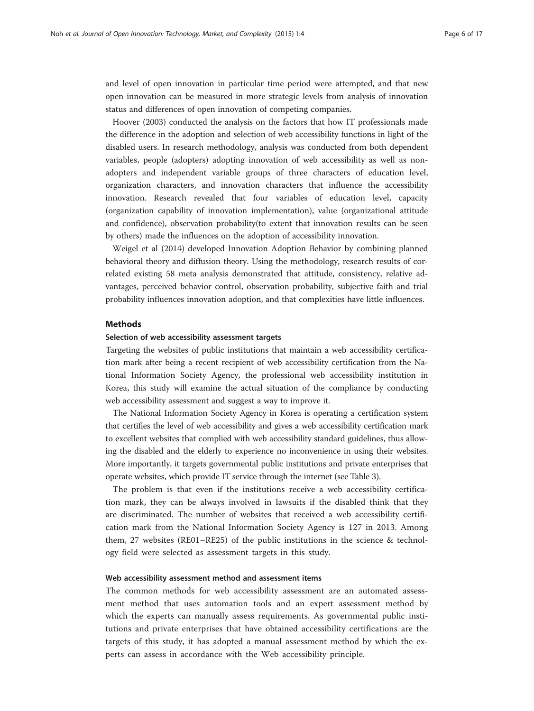and level of open innovation in particular time period were attempted, and that new open innovation can be measured in more strategic levels from analysis of innovation status and differences of open innovation of competing companies.

Hoover ([2003](#page-15-0)) conducted the analysis on the factors that how IT professionals made the difference in the adoption and selection of web accessibility functions in light of the disabled users. In research methodology, analysis was conducted from both dependent variables, people (adopters) adopting innovation of web accessibility as well as nonadopters and independent variable groups of three characters of education level, organization characters, and innovation characters that influence the accessibility innovation. Research revealed that four variables of education level, capacity (organization capability of innovation implementation), value (organizational attitude and confidence), observation probability(to extent that innovation results can be seen by others) made the influences on the adoption of accessibility innovation.

Weigel et al [\(2014\)](#page-16-0) developed Innovation Adoption Behavior by combining planned behavioral theory and diffusion theory. Using the methodology, research results of correlated existing 58 meta analysis demonstrated that attitude, consistency, relative advantages, perceived behavior control, observation probability, subjective faith and trial probability influences innovation adoption, and that complexities have little influences.

#### Methods

#### Selection of web accessibility assessment targets

Targeting the websites of public institutions that maintain a web accessibility certification mark after being a recent recipient of web accessibility certification from the National Information Society Agency, the professional web accessibility institution in Korea, this study will examine the actual situation of the compliance by conducting web accessibility assessment and suggest a way to improve it.

The National Information Society Agency in Korea is operating a certification system that certifies the level of web accessibility and gives a web accessibility certification mark to excellent websites that complied with web accessibility standard guidelines, thus allowing the disabled and the elderly to experience no inconvenience in using their websites. More importantly, it targets governmental public institutions and private enterprises that operate websites, which provide IT service through the internet (see Table [3\)](#page-6-0).

The problem is that even if the institutions receive a web accessibility certification mark, they can be always involved in lawsuits if the disabled think that they are discriminated. The number of websites that received a web accessibility certification mark from the National Information Society Agency is 127 in 2013. Among them, 27 websites (RE01–RE25) of the public institutions in the science & technology field were selected as assessment targets in this study.

#### Web accessibility assessment method and assessment items

The common methods for web accessibility assessment are an automated assessment method that uses automation tools and an expert assessment method by which the experts can manually assess requirements. As governmental public institutions and private enterprises that have obtained accessibility certifications are the targets of this study, it has adopted a manual assessment method by which the experts can assess in accordance with the Web accessibility principle.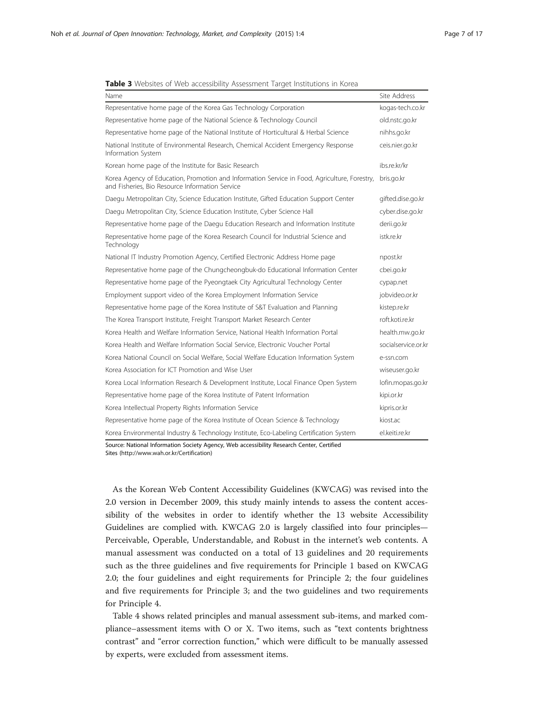| Name                                                                                                                                            | Site Address        |
|-------------------------------------------------------------------------------------------------------------------------------------------------|---------------------|
| Representative home page of the Korea Gas Technology Corporation                                                                                | kogas-tech.co.kr    |
| Representative home page of the National Science & Technology Council                                                                           | old.nstc.go.kr      |
| Representative home page of the National Institute of Horticultural & Herbal Science                                                            | nihhs.go.kr         |
| National Institute of Environmental Research, Chemical Accident Emergency Response<br>Information System                                        | ceis.nier.go.kr     |
| Korean home page of the Institute for Basic Research                                                                                            | ibs.re.kr/kr        |
| Korea Agency of Education, Promotion and Information Service in Food, Agriculture, Forestry,<br>and Fisheries, Bio Resource Information Service | bris.go.kr          |
| Daegu Metropolitan City, Science Education Institute, Gifted Education Support Center                                                           | gifted.dise.go.kr   |
| Daegu Metropolitan City, Science Education Institute, Cyber Science Hall                                                                        | cyber.dise.go.kr    |
| Representative home page of the Daegu Education Research and Information Institute                                                              | derii.go.kr         |
| Representative home page of the Korea Research Council for Industrial Science and<br>Technology                                                 | istk.re.kr          |
| National IT Industry Promotion Agency, Certified Electronic Address Home page                                                                   | npost.kr            |
| Representative home page of the Chungcheongbuk-do Educational Information Center                                                                | cbei.go.kr          |
| Representative home page of the Pyeongtaek City Agricultural Technology Center                                                                  | cypap.net           |
| Employment support video of the Korea Employment Information Service                                                                            | jobvideo.or.kr      |
| Representative home page of the Korea Institute of S&T Evaluation and Planning                                                                  | kistep.re.kr        |
| The Korea Transport Institute, Freight Transport Market Research Center                                                                         | roft.koti.re.kr     |
| Korea Health and Welfare Information Service, National Health Information Portal                                                                | health.mw.go.kr     |
| Korea Health and Welfare Information Social Service, Electronic Voucher Portal                                                                  | socialservice.or.kr |
| Korea National Council on Social Welfare, Social Welfare Education Information System                                                           | e-ssn.com           |
| Korea Association for ICT Promotion and Wise User                                                                                               | wiseuser.go.kr      |
| Korea Local Information Research & Development Institute, Local Finance Open System                                                             | lofin.mopas.go.kr   |
| Representative home page of the Korea Institute of Patent Information                                                                           | kipi.or.kr          |
| Korea Intellectual Property Rights Information Service                                                                                          | kipris.or.kr        |
| Representative home page of the Korea Institute of Ocean Science & Technology                                                                   | kiost.ac            |
| Korea Environmental Industry & Technology Institute, Eco-Labeling Certification System                                                          | el.keiti.re.kr      |

<span id="page-6-0"></span>**Table 3** Websites of Web accessibility Assessment Target Institutions in Korea

Source: National Information Society Agency, Web accessibility Research Center, Certified Sites [\(http://www.wah.or.kr/Certification\)](http://www.wah.or.kr/Certification)

As the Korean Web Content Accessibility Guidelines (KWCAG) was revised into the 2.0 version in December 2009, this study mainly intends to assess the content accessibility of the websites in order to identify whether the 13 website Accessibility Guidelines are complied with. KWCAG 2.0 is largely classified into four principles— Perceivable, Operable, Understandable, and Robust in the internet's web contents. A manual assessment was conducted on a total of 13 guidelines and 20 requirements such as the three guidelines and five requirements for Principle 1 based on KWCAG 2.0; the four guidelines and eight requirements for Principle 2; the four guidelines and five requirements for Principle 3; and the two guidelines and two requirements for Principle 4.

Table [4](#page-7-0) shows related principles and manual assessment sub-items, and marked compliance–assessment items with O or X. Two items, such as "text contents brightness contrast" and "error correction function," which were difficult to be manually assessed by experts, were excluded from assessment items.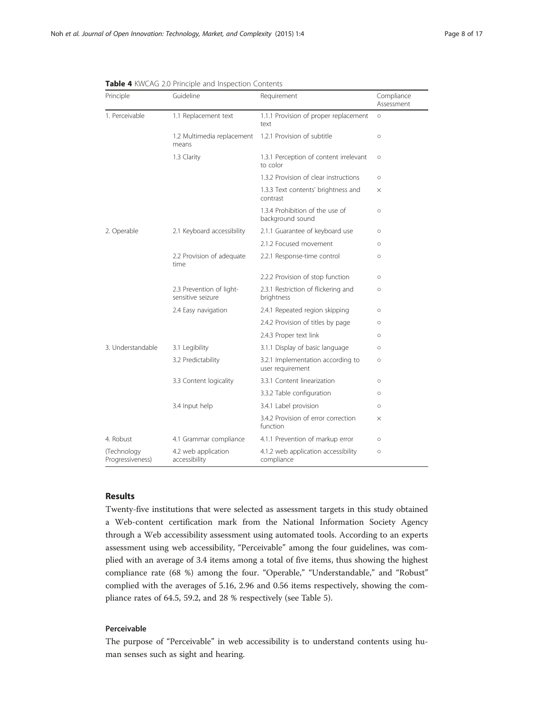| Principle                       | Guideline                                     | Requirement                                           | Compliance<br>Assessment |  |  |  |  |
|---------------------------------|-----------------------------------------------|-------------------------------------------------------|--------------------------|--|--|--|--|
| 1. Perceivable                  | 1.1 Replacement text                          | 1.1.1 Provision of proper replacement<br>text         | $\circ$                  |  |  |  |  |
|                                 | 1.2 Multimedia replacement<br>means           | 1.2.1 Provision of subtitle                           | $\circ$                  |  |  |  |  |
|                                 | 1.3 Clarity                                   | 1.3.1 Perception of content irrelevant<br>to color    | $\circ$                  |  |  |  |  |
|                                 |                                               | 1.3.2 Provision of clear instructions                 | $\circ$                  |  |  |  |  |
|                                 |                                               | 1.3.3 Text contents' brightness and<br>contrast       | $\times$                 |  |  |  |  |
|                                 |                                               | 1.3.4 Prohibition of the use of<br>background sound   | $\circ$                  |  |  |  |  |
| 2. Operable                     | 2.1 Keyboard accessibility                    | 2.1.1 Guarantee of keyboard use                       | $\circ$                  |  |  |  |  |
|                                 |                                               | 2.1.2 Focused movement                                | $\circ$                  |  |  |  |  |
|                                 | 2.2 Provision of adequate<br>time             | 2.2.1 Response-time control                           | $\circ$                  |  |  |  |  |
|                                 |                                               | 2.2.2 Provision of stop function                      | $\circ$                  |  |  |  |  |
|                                 | 2.3 Prevention of light-<br>sensitive seizure | 2.3.1 Restriction of flickering and<br>brightness     | $\circ$                  |  |  |  |  |
|                                 | 2.4 Easy navigation                           | 2.4.1 Repeated region skipping                        | $\circ$                  |  |  |  |  |
|                                 |                                               | 2.4.2 Provision of titles by page                     | $\circ$                  |  |  |  |  |
|                                 |                                               | 2.4.3 Proper text link                                | $\circ$                  |  |  |  |  |
| 3. Understandable               | 3.1 Legibility                                | 3.1.1 Display of basic language                       | $\circ$                  |  |  |  |  |
|                                 | 3.2 Predictability                            | 3.2.1 Implementation according to<br>user requirement | $\circ$                  |  |  |  |  |
|                                 | 3.3 Content logicality                        | 3.3.1 Content linearization                           | $\circ$                  |  |  |  |  |
|                                 |                                               | 3.3.2 Table configuration                             | $\circ$                  |  |  |  |  |
|                                 | 3.4 Input help                                | 3.4.1 Label provision                                 | $\circ$                  |  |  |  |  |
|                                 |                                               | 3.4.2 Provision of error correction<br>function       | $\times$                 |  |  |  |  |
| 4. Robust                       | 4.1 Grammar compliance                        | 4.1.1 Prevention of markup error                      | $\circ$                  |  |  |  |  |
| (Technology<br>Progressiveness) | 4.2 web application<br>accessibility          | 4.1.2 web application accessibility<br>compliance     | $\circ$                  |  |  |  |  |

<span id="page-7-0"></span>Table 4 KWCAG 2.0 Principle and Inspection Contents

## Results

Twenty-five institutions that were selected as assessment targets in this study obtained a Web-content certification mark from the National Information Society Agency through a Web accessibility assessment using automated tools. According to an experts assessment using web accessibility, "Perceivable" among the four guidelines, was complied with an average of 3.4 items among a total of five items, thus showing the highest compliance rate (68 %) among the four. "Operable," "Understandable," and "Robust" complied with the averages of 5.16, 2.96 and 0.56 items respectively, showing the compliance rates of 64.5, 59.2, and 28 % respectively (see Table [5\)](#page-8-0).

#### Perceivable

The purpose of "Perceivable" in web accessibility is to understand contents using human senses such as sight and hearing.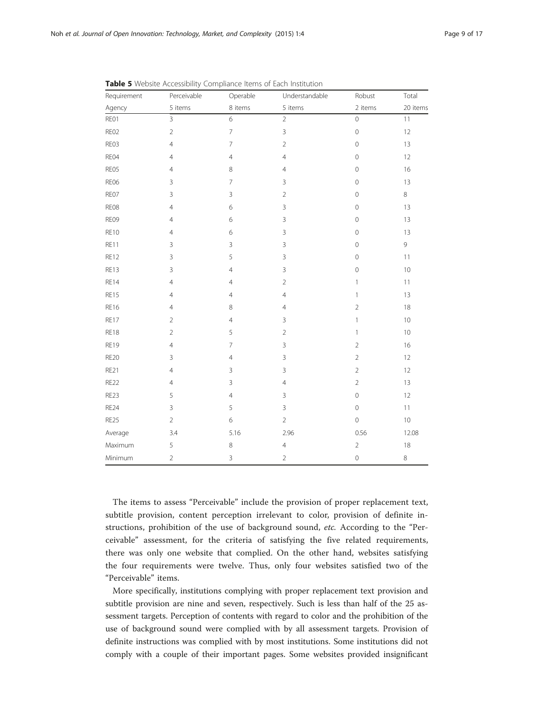| Requirement | Perceivable    | Operable       | Understandable | Robust              | Total    |
|-------------|----------------|----------------|----------------|---------------------|----------|
| Agency      | 5 items        | 8 items        | 5 items        | 2 items             | 20 items |
| RE01        | $\overline{3}$ | $\epsilon$     | $\sqrt{2}$     | $\mathsf{O}\xspace$ | $11\,$   |
| RE02        | $\mathbf 2$    | $\overline{7}$ | $\mathsf 3$    | $\mathbf 0$         | 12       |
| RE03        | $\overline{4}$ | $\overline{7}$ | $\overline{2}$ | $\mathbf 0$         | 13       |
| RE04        | $\overline{4}$ | $\overline{4}$ | $\overline{4}$ | $\mathbf 0$         | 12       |
| RE05        | $\overline{4}$ | 8              | $\overline{4}$ | $\mathbf 0$         | 16       |
| RE06        | 3              | $\overline{7}$ | $\overline{3}$ | $\mathbf 0$         | 13       |
| RE07        | 3              | 3              | $\overline{2}$ | $\mathbf 0$         | 8        |
| RE08        | $\overline{4}$ | 6              | $\overline{3}$ | $\mathbf 0$         | 13       |
| RE09        | $\overline{4}$ | 6              | $\overline{3}$ | $\mathbf 0$         | 13       |
| <b>RE10</b> | $\overline{4}$ | 6              | 3              | $\mathbf 0$         | 13       |
| <b>RE11</b> | $\mathbf{3}$   | $\mathsf 3$    | $\overline{3}$ | $\mathbf 0$         | 9        |
| RE12        | 3              | 5              | 3              | $\mathbf 0$         | 11       |
| RE13        | 3              | $\overline{4}$ | 3              | $\mathbf 0$         | $10$     |
| RE14        | $\overline{4}$ | $\overline{4}$ | $\overline{2}$ | 1                   | $11\,$   |
| RE15        | $\overline{4}$ | $\overline{4}$ | $\overline{4}$ | $\mathbf{1}$        | 13       |
| <b>RE16</b> | $\overline{4}$ | 8              | $\overline{4}$ | $\overline{2}$      | 18       |
| RE17        | $\overline{2}$ | $\overline{4}$ | $\overline{3}$ | $\mathbf{1}$        | $10$     |
| RE18        | $\overline{2}$ | 5              | $\overline{2}$ | $\mathbf{1}$        | 10       |
| RE19        | $\overline{4}$ | $\overline{7}$ | $\overline{3}$ | $\overline{2}$      | 16       |
| RE20        | 3              | $\overline{4}$ | $\overline{3}$ | $\sqrt{2}$          | 12       |
| RE21        | $\overline{4}$ | 3              | $\overline{3}$ | $\sqrt{2}$          | 12       |
| RE22        | $\overline{4}$ | 3              | $\overline{4}$ | $\overline{2}$      | 13       |
| RE23        | 5              | $\overline{4}$ | $\overline{3}$ | $\mathsf O$         | 12       |
| RE24        | 3              | 5              | $\overline{3}$ | $\mathsf{O}\xspace$ | 11       |
| RE25        | $\overline{2}$ | 6              | $\overline{2}$ | $\mathsf{O}\xspace$ | $10$     |
| Average     | 3.4            | 5.16           | 2.96           | 0.56                | 12.08    |
| Maximum     | 5              | $\,8\,$        | $\overline{4}$ | $\sqrt{2}$          | $18\,$   |
| Minimum     | $\overline{2}$ | 3              | $\sqrt{2}$     | $\mathbf 0$         | 8        |

<span id="page-8-0"></span>Table 5 Website Accessibility Compliance Items of Each Institution

The items to assess "Perceivable" include the provision of proper replacement text, subtitle provision, content perception irrelevant to color, provision of definite instructions, prohibition of the use of background sound, etc. According to the "Perceivable" assessment, for the criteria of satisfying the five related requirements, there was only one website that complied. On the other hand, websites satisfying the four requirements were twelve. Thus, only four websites satisfied two of the "Perceivable" items.

More specifically, institutions complying with proper replacement text provision and subtitle provision are nine and seven, respectively. Such is less than half of the 25 assessment targets. Perception of contents with regard to color and the prohibition of the use of background sound were complied with by all assessment targets. Provision of definite instructions was complied with by most institutions. Some institutions did not comply with a couple of their important pages. Some websites provided insignificant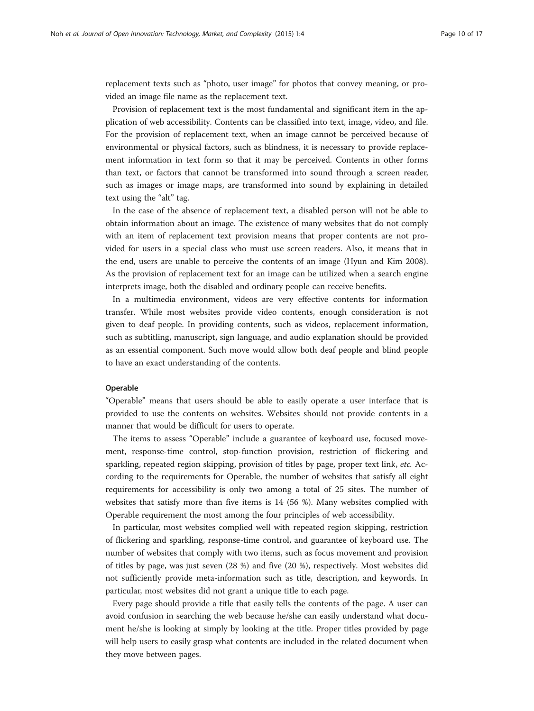replacement texts such as "photo, user image" for photos that convey meaning, or provided an image file name as the replacement text.

Provision of replacement text is the most fundamental and significant item in the application of web accessibility. Contents can be classified into text, image, video, and file. For the provision of replacement text, when an image cannot be perceived because of environmental or physical factors, such as blindness, it is necessary to provide replacement information in text form so that it may be perceived. Contents in other forms than text, or factors that cannot be transformed into sound through a screen reader, such as images or image maps, are transformed into sound by explaining in detailed text using the "alt" tag.

In the case of the absence of replacement text, a disabled person will not be able to obtain information about an image. The existence of many websites that do not comply with an item of replacement text provision means that proper contents are not provided for users in a special class who must use screen readers. Also, it means that in the end, users are unable to perceive the contents of an image (Hyun and Kim [2008](#page-15-0)). As the provision of replacement text for an image can be utilized when a search engine interprets image, both the disabled and ordinary people can receive benefits.

In a multimedia environment, videos are very effective contents for information transfer. While most websites provide video contents, enough consideration is not given to deaf people. In providing contents, such as videos, replacement information, such as subtitling, manuscript, sign language, and audio explanation should be provided as an essential component. Such move would allow both deaf people and blind people to have an exact understanding of the contents.

#### Operable

"Operable" means that users should be able to easily operate a user interface that is provided to use the contents on websites. Websites should not provide contents in a manner that would be difficult for users to operate.

The items to assess "Operable" include a guarantee of keyboard use, focused movement, response-time control, stop-function provision, restriction of flickering and sparkling, repeated region skipping, provision of titles by page, proper text link, etc. According to the requirements for Operable, the number of websites that satisfy all eight requirements for accessibility is only two among a total of 25 sites. The number of websites that satisfy more than five items is 14 (56 %). Many websites complied with Operable requirement the most among the four principles of web accessibility.

In particular, most websites complied well with repeated region skipping, restriction of flickering and sparkling, response-time control, and guarantee of keyboard use. The number of websites that comply with two items, such as focus movement and provision of titles by page, was just seven (28 %) and five (20 %), respectively. Most websites did not sufficiently provide meta-information such as title, description, and keywords. In particular, most websites did not grant a unique title to each page.

Every page should provide a title that easily tells the contents of the page. A user can avoid confusion in searching the web because he/she can easily understand what document he/she is looking at simply by looking at the title. Proper titles provided by page will help users to easily grasp what contents are included in the related document when they move between pages.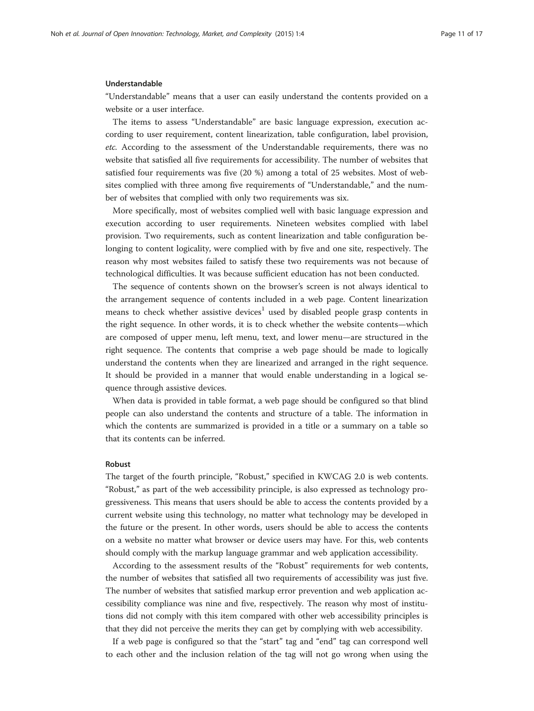#### Understandable

"Understandable" means that a user can easily understand the contents provided on a website or a user interface.

The items to assess "Understandable" are basic language expression, execution according to user requirement, content linearization, table configuration, label provision, etc. According to the assessment of the Understandable requirements, there was no website that satisfied all five requirements for accessibility. The number of websites that satisfied four requirements was five (20 %) among a total of 25 websites. Most of websites complied with three among five requirements of "Understandable," and the number of websites that complied with only two requirements was six.

More specifically, most of websites complied well with basic language expression and execution according to user requirements. Nineteen websites complied with label provision. Two requirements, such as content linearization and table configuration belonging to content logicality, were complied with by five and one site, respectively. The reason why most websites failed to satisfy these two requirements was not because of technological difficulties. It was because sufficient education has not been conducted.

The sequence of contents shown on the browser's screen is not always identical to the arrangement sequence of contents included in a web page. Content linearization means to check whether assistive devices<sup>1</sup> used by disabled people grasp contents in the right sequence. In other words, it is to check whether the website contents—which are composed of upper menu, left menu, text, and lower menu—are structured in the right sequence. The contents that comprise a web page should be made to logically understand the contents when they are linearized and arranged in the right sequence. It should be provided in a manner that would enable understanding in a logical sequence through assistive devices.

When data is provided in table format, a web page should be configured so that blind people can also understand the contents and structure of a table. The information in which the contents are summarized is provided in a title or a summary on a table so that its contents can be inferred.

#### Robust

The target of the fourth principle, "Robust," specified in KWCAG 2.0 is web contents. "Robust," as part of the web accessibility principle, is also expressed as technology progressiveness. This means that users should be able to access the contents provided by a current website using this technology, no matter what technology may be developed in the future or the present. In other words, users should be able to access the contents on a website no matter what browser or device users may have. For this, web contents should comply with the markup language grammar and web application accessibility.

According to the assessment results of the "Robust" requirements for web contents, the number of websites that satisfied all two requirements of accessibility was just five. The number of websites that satisfied markup error prevention and web application accessibility compliance was nine and five, respectively. The reason why most of institutions did not comply with this item compared with other web accessibility principles is that they did not perceive the merits they can get by complying with web accessibility.

If a web page is configured so that the "start" tag and "end" tag can correspond well to each other and the inclusion relation of the tag will not go wrong when using the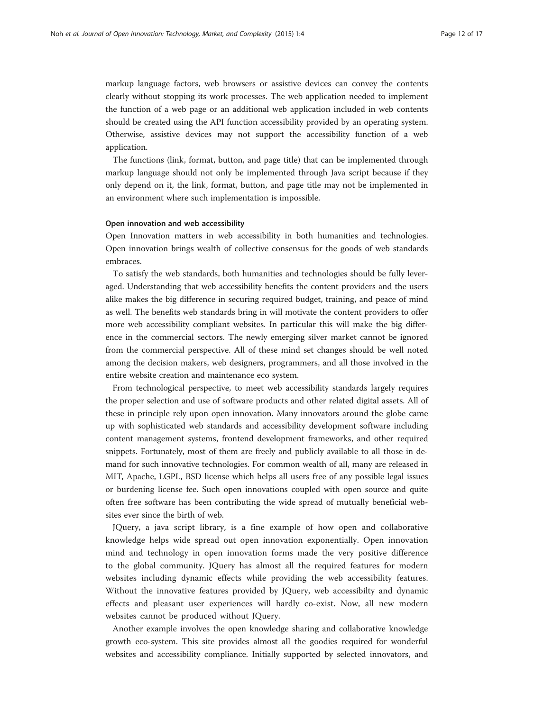markup language factors, web browsers or assistive devices can convey the contents clearly without stopping its work processes. The web application needed to implement the function of a web page or an additional web application included in web contents should be created using the API function accessibility provided by an operating system. Otherwise, assistive devices may not support the accessibility function of a web application.

The functions (link, format, button, and page title) that can be implemented through markup language should not only be implemented through Java script because if they only depend on it, the link, format, button, and page title may not be implemented in an environment where such implementation is impossible.

#### Open innovation and web accessibility

Open Innovation matters in web accessibility in both humanities and technologies. Open innovation brings wealth of collective consensus for the goods of web standards embraces.

To satisfy the web standards, both humanities and technologies should be fully leveraged. Understanding that web accessibility benefits the content providers and the users alike makes the big difference in securing required budget, training, and peace of mind as well. The benefits web standards bring in will motivate the content providers to offer more web accessibility compliant websites. In particular this will make the big difference in the commercial sectors. The newly emerging silver market cannot be ignored from the commercial perspective. All of these mind set changes should be well noted among the decision makers, web designers, programmers, and all those involved in the entire website creation and maintenance eco system.

From technological perspective, to meet web accessibility standards largely requires the proper selection and use of software products and other related digital assets. All of these in principle rely upon open innovation. Many innovators around the globe came up with sophisticated web standards and accessibility development software including content management systems, frontend development frameworks, and other required snippets. Fortunately, most of them are freely and publicly available to all those in demand for such innovative technologies. For common wealth of all, many are released in MIT, Apache, LGPL, BSD license which helps all users free of any possible legal issues or burdening license fee. Such open innovations coupled with open source and quite often free software has been contributing the wide spread of mutually beneficial websites ever since the birth of web.

JQuery, a java script library, is a fine example of how open and collaborative knowledge helps wide spread out open innovation exponentially. Open innovation mind and technology in open innovation forms made the very positive difference to the global community. JQuery has almost all the required features for modern websites including dynamic effects while providing the web accessibility features. Without the innovative features provided by JQuery, web accessibilty and dynamic effects and pleasant user experiences will hardly co-exist. Now, all new modern websites cannot be produced without JQuery.

Another example involves the open knowledge sharing and collaborative knowledge growth eco-system. This site provides almost all the goodies required for wonderful websites and accessibility compliance. Initially supported by selected innovators, and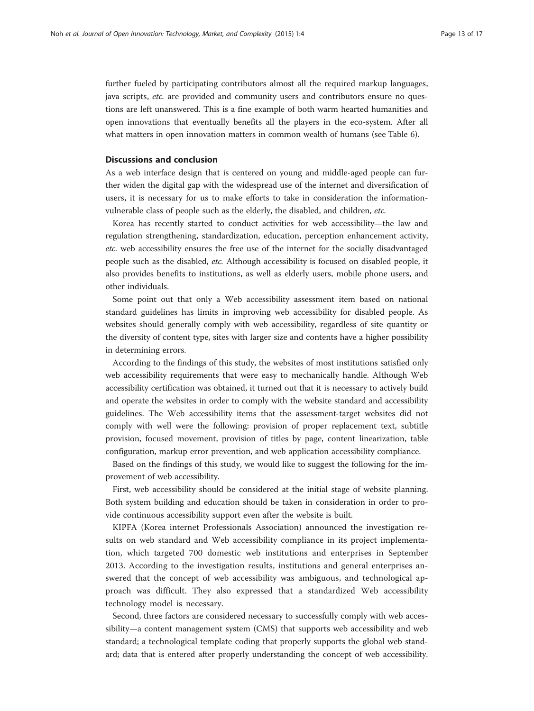further fueled by participating contributors almost all the required markup languages, java scripts, etc. are provided and community users and contributors ensure no questions are left unanswered. This is a fine example of both warm hearted humanities and open innovations that eventually benefits all the players in the eco-system. After all what matters in open innovation matters in common wealth of humans (see Table [6\)](#page-13-0).

#### Discussions and conclusion

As a web interface design that is centered on young and middle-aged people can further widen the digital gap with the widespread use of the internet and diversification of users, it is necessary for us to make efforts to take in consideration the informationvulnerable class of people such as the elderly, the disabled, and children, etc.

Korea has recently started to conduct activities for web accessibility—the law and regulation strengthening, standardization, education, perception enhancement activity, etc. web accessibility ensures the free use of the internet for the socially disadvantaged people such as the disabled, etc. Although accessibility is focused on disabled people, it also provides benefits to institutions, as well as elderly users, mobile phone users, and other individuals.

Some point out that only a Web accessibility assessment item based on national standard guidelines has limits in improving web accessibility for disabled people. As websites should generally comply with web accessibility, regardless of site quantity or the diversity of content type, sites with larger size and contents have a higher possibility in determining errors.

According to the findings of this study, the websites of most institutions satisfied only web accessibility requirements that were easy to mechanically handle. Although Web accessibility certification was obtained, it turned out that it is necessary to actively build and operate the websites in order to comply with the website standard and accessibility guidelines. The Web accessibility items that the assessment-target websites did not comply with well were the following: provision of proper replacement text, subtitle provision, focused movement, provision of titles by page, content linearization, table configuration, markup error prevention, and web application accessibility compliance.

Based on the findings of this study, we would like to suggest the following for the improvement of web accessibility.

First, web accessibility should be considered at the initial stage of website planning. Both system building and education should be taken in consideration in order to provide continuous accessibility support even after the website is built.

KIPFA (Korea internet Professionals Association) announced the investigation results on web standard and Web accessibility compliance in its project implementation, which targeted 700 domestic web institutions and enterprises in September 2013. According to the investigation results, institutions and general enterprises answered that the concept of web accessibility was ambiguous, and technological approach was difficult. They also expressed that a standardized Web accessibility technology model is necessary.

Second, three factors are considered necessary to successfully comply with web accessibility—a content management system (CMS) that supports web accessibility and web standard; a technological template coding that properly supports the global web standard; data that is entered after properly understanding the concept of web accessibility.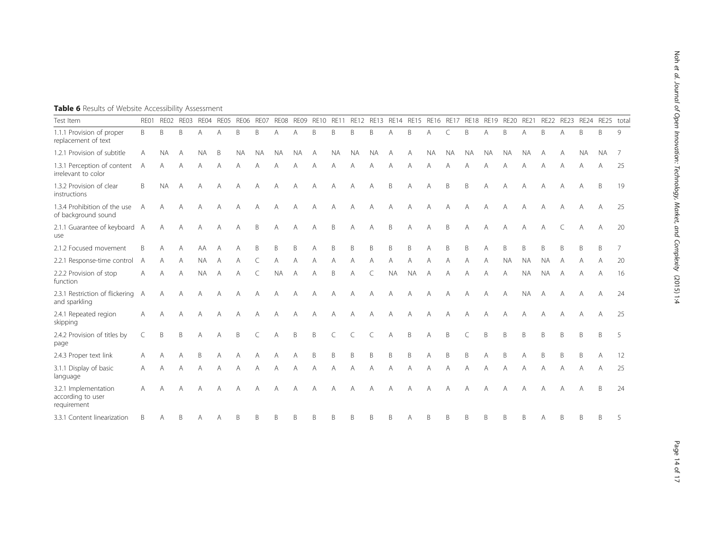|  | et al. Journal of Open Innovation: Technology, Market, and Complexity (2015) 1:4 |
|--|----------------------------------------------------------------------------------|
|  |                                                                                  |
|  |                                                                                  |
|  |                                                                                  |

Noh

## <span id="page-13-0"></span>Table 6 Results of Website Accessibility Assessment

| Test Item                                                | RE01           | RE02      | RE03         | RE04      | RE05         | <b>RE06</b> | RE07         | RE08      | RE09      | <b>RE10</b>  | <b>RE11</b> | <b>RE12</b>  |           | RE13 RE14    | <b>RE15</b> |           | RE16 RE17 | <b>RE18</b>  | <b>RE19</b>    | <b>RE20</b> | <b>RE21</b> | <b>RE22</b> | RE23 |           | RE24 RE25 total |    |
|----------------------------------------------------------|----------------|-----------|--------------|-----------|--------------|-------------|--------------|-----------|-----------|--------------|-------------|--------------|-----------|--------------|-------------|-----------|-----------|--------------|----------------|-------------|-------------|-------------|------|-----------|-----------------|----|
| 1.1.1 Provision of proper<br>replacement of text         | B              | B         | B            | A         | A            | B.          | <sub>B</sub> | A         | A         | <sub>B</sub> | B           | <sub>B</sub> | B         | A            | B           | A         | $\subset$ | <sub>B</sub> | $\overline{A}$ | B           | A           | B           | A    | B         | B               | 9  |
| 1.2.1 Provision of subtitle                              | A              | <b>NA</b> | A            | <b>NA</b> | <sub>B</sub> | <b>NA</b>   | <b>NA</b>    | <b>NA</b> | <b>NA</b> |              | <b>NA</b>   | <b>NA</b>    | <b>NA</b> |              | А           | <b>NA</b> | <b>NA</b> | <b>NA</b>    | <b>NA</b>      | <b>NA</b>   | <b>NA</b>   | A           |      | <b>NA</b> | <b>NA</b>       |    |
| 1.3.1 Perception of content<br>irrelevant to color       | $\overline{A}$ | Α         |              | Α         | A            | A           | Α            | Α         | A         | Α            | A           | A            | A         | A            | A           | A         | A         | A            | A              | Α           | Α           | Α           | A    | A         | A               | 25 |
| 1.3.2 Provision of clear<br>instructions                 | B              | <b>NA</b> | A            | A         | A            | A           | Α            | Α         | A         | A            | A           | A            | A         | B            | A           | A         | B         | B            | A              | A           | Α           | A           | A    | A         | B               | 19 |
| 1.3.4 Prohibition of the use<br>of background sound      | A              | A         | Α            | Α         | А            | Α           | Α            | А         | Α         | А            | Α           | А            | А         | А            | А           | A         | А         | А            | Α              | Α           | Α           | Α           | А    | А         | A               | 25 |
| 2.1.1 Guarantee of keyboard A<br>use                     |                | A         | А            | A         | A            | A           | B            | Α         | A         | A            | B           | А            | A         | B            | A           | A         | B         | Α            | А              | Α           | Α           | A           |      |           | A               | 20 |
| 2.1.2 Focused movement                                   | B              | A         | A            | AA        | A            | Α           | B            | B         | B         | Α            | B           | B            | B         | B            | B           | A         | B         | B            | A              | B           | B           | B           | B    | B         | B               | 7  |
| 2.2.1 Response-time control                              | A              | Α         | A            | <b>NA</b> |              | Α           |              |           |           |              |             |              | A         | A            | А           |           |           |              | A              | <b>NA</b>   | <b>NA</b>   | <b>NA</b>   |      |           |                 | 20 |
| 2.2.2 Provision of stop<br>function                      | A              | Α         | А            | <b>NA</b> | Α            | А           |              | <b>NA</b> | А         | А            | B           |              |           | <b>NA</b>    | <b>NA</b>   | А         | Α         |              | А              | Α           | <b>NA</b>   | <b>NA</b>   |      |           |                 | 16 |
| 2.3.1 Restriction of flickering<br>and sparkling         | A              | A         |              |           |              |             |              |           | А         |              |             |              | A         |              |             |           |           |              | Α              | Α           | <b>NA</b>   | Α           |      | A         | A               | 24 |
| 2.4.1 Repeated region<br>skipping                        | A              | A         | А            | Α         |              |             | Α            |           |           |              |             |              |           |              |             |           | A         |              | А              | Α           | Α           | Α           |      | A         | A               | 25 |
| 2.4.2 Provision of titles by<br>page                     |                | R         | <sub>B</sub> | Α         | Α            | B.          |              | А         | B         | <sub>B</sub> |             |              |           |              | B           | A         | B         |              | B              | B.          | B           | B           | B    | B         | <sub>B</sub>    | 5  |
| 2.4.3 Proper text link                                   |                |           |              | B         |              |             |              |           |           |              | R           | <sub>B</sub> | B         | <sub>B</sub> | B           |           | <b>B</b>  | B            | А              | B.          | А           | R           |      | B.        |                 | 12 |
| 3.1.1 Display of basic<br>language                       | A              |           |              | А         | Α            | Α           | Α            | Α         | Α         |              | A           | A            | A         | A            | A           |           | A         |              |                | Α           | A           |             |      |           | A               | 25 |
| 3.2.1 Implementation<br>according to user<br>requirement | A              |           |              |           |              |             |              |           |           |              |             |              |           |              |             |           |           |              |                |             |             |             |      |           | B               | 24 |
| 3.3.1 Content linearization                              |                |           |              |           |              |             |              |           |           |              |             |              |           |              |             |           |           |              | R              | R           |             |             |      |           |                 |    |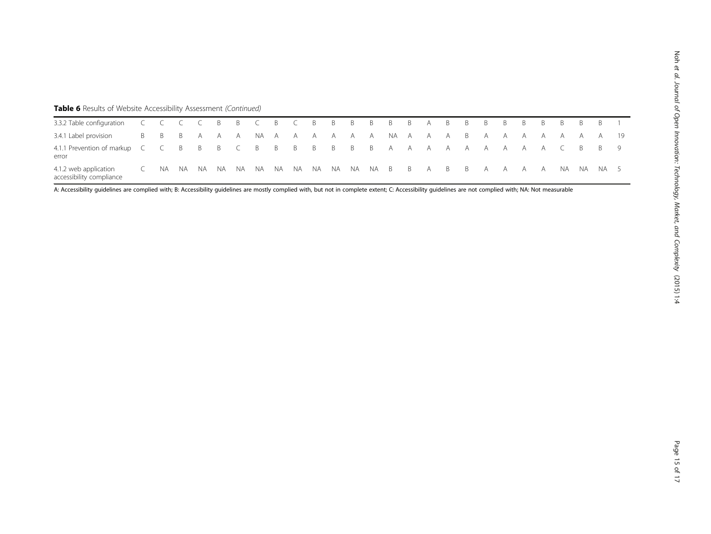|                                                                 | <b>Table 6</b> Results of Website Accessibility Assessment (Continued) |  |  |  |  |  |  |  |  |  |  |  |  |  |  |  |                               |  |  |           |  |
|-----------------------------------------------------------------|------------------------------------------------------------------------|--|--|--|--|--|--|--|--|--|--|--|--|--|--|--|-------------------------------|--|--|-----------|--|
| 3.3.2 Table configuration C C C C B B C B C B B B B B B A B B B |                                                                        |  |  |  |  |  |  |  |  |  |  |  |  |  |  |  | $\overline{B}$ $\overline{B}$ |  |  | B B B B 1 |  |
| 3.4.1 Label provision                                           |                                                                        |  |  |  |  |  |  |  |  |  |  |  |  |  |  |  |                               |  |  |           |  |
| error                                                           |                                                                        |  |  |  |  |  |  |  |  |  |  |  |  |  |  |  |                               |  |  |           |  |
| 4.1.2 web application<br>accessibility compliance               |                                                                        |  |  |  |  |  |  |  |  |  |  |  |  |  |  |  |                               |  |  |           |  |

A: Accessibility guidelines are complied with; B: Accessibility guidelines are mostly complied with, but not in complete extent; C: Accessibility guidelines are not complied with; NA: Not measurable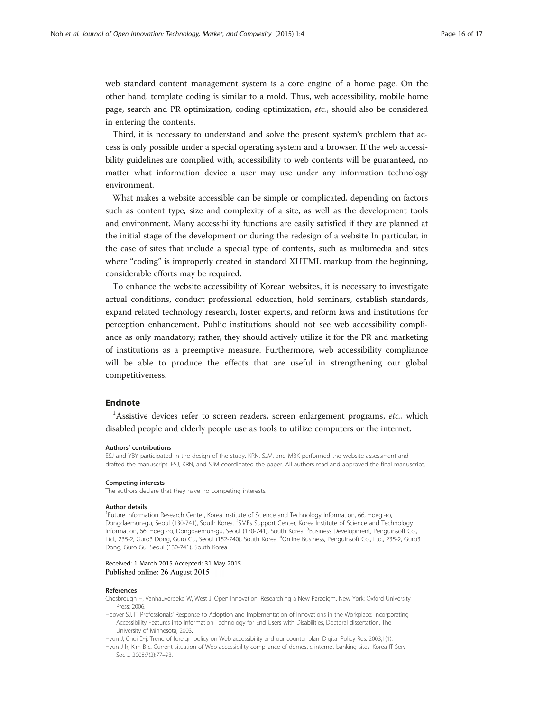<span id="page-15-0"></span>web standard content management system is a core engine of a home page. On the other hand, template coding is similar to a mold. Thus, web accessibility, mobile home page, search and PR optimization, coding optimization, etc., should also be considered in entering the contents.

Third, it is necessary to understand and solve the present system's problem that access is only possible under a special operating system and a browser. If the web accessibility guidelines are complied with, accessibility to web contents will be guaranteed, no matter what information device a user may use under any information technology environment.

What makes a website accessible can be simple or complicated, depending on factors such as content type, size and complexity of a site, as well as the development tools and environment. Many accessibility functions are easily satisfied if they are planned at the initial stage of the development or during the redesign of a website In particular, in the case of sites that include a special type of contents, such as multimedia and sites where "coding" is improperly created in standard XHTML markup from the beginning, considerable efforts may be required.

To enhance the website accessibility of Korean websites, it is necessary to investigate actual conditions, conduct professional education, hold seminars, establish standards, expand related technology research, foster experts, and reform laws and institutions for perception enhancement. Public institutions should not see web accessibility compliance as only mandatory; rather, they should actively utilize it for the PR and marketing of institutions as a preemptive measure. Furthermore, web accessibility compliance will be able to produce the effects that are useful in strengthening our global competitiveness.

### Endnote

<sup>1</sup>Assistive devices refer to screen readers, screen enlargement programs, etc., which disabled people and elderly people use as tools to utilize computers or the internet.

#### Authors' contributions

ESJ and YBY participated in the design of the study. KRN, SJM, and MBK performed the website assessment and drafted the manuscript. ESJ, KRN, and SJM coordinated the paper. All authors read and approved the final manuscript.

#### Competing interests

The authors declare that they have no competing interests.

#### Author details

<sup>1</sup>Future Information Research Center, Korea Institute of Science and Technology Information, 66, Hoegi-ro, Dongdaemun-gu, Seoul (130-741), South Korea. <sup>2</sup>SMEs Support Center, Korea Institute of Science and Technology Information, 66, Hoegi-ro, Dongdaemun-gu, Seoul (130-741), South Korea. <sup>3</sup>Business Development, Penguinsoft Co., Ltd., 235-2, Guro3 Dong, Guro Gu, Seoul (152-740), South Korea. <sup>4</sup>Online Business, Penguinsoft Co., Ltd., 235-2, Guro3 Dong, Guro Gu, Seoul (130-741), South Korea.

#### Received: 1 March 2015 Accepted: 31 May 2015 Published online: 26 August 2015

#### References

- Chesbrough H, Vanhauverbeke W, West J. Open Innovation: Researching a New Paradigm. New York: Oxford University Press; 2006.
- Hoover SJ. IT Professionals' Response to Adoption and Implementation of Innovations in the Workplace: Incorporating Accessibility Features into Information Technology for End Users with Disabilities, Doctoral dissertation, The University of Minnesota; 2003.

Hyun J, Choi D-j. Trend of foreign policy on Web accessibility and our counter plan. Digital Policy Res. 2003;1(1).

Hyun J-h, Kim B-c. Current situation of Web accessibility compliance of domestic internet banking sites. Korea IT Serv Soc J. 2008;7(2):77–93.